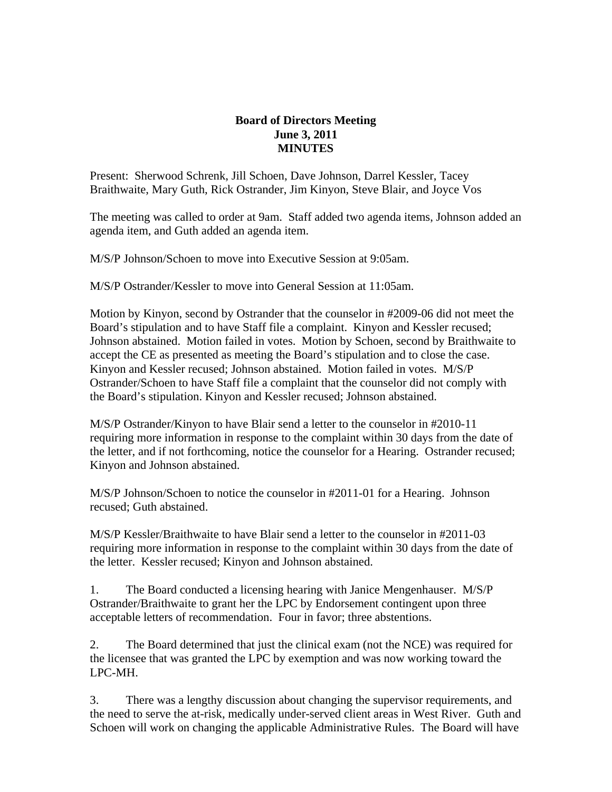## **Board of Directors Meeting June 3, 2011 MINUTES**

Present: Sherwood Schrenk, Jill Schoen, Dave Johnson, Darrel Kessler, Tacey Braithwaite, Mary Guth, Rick Ostrander, Jim Kinyon, Steve Blair, and Joyce Vos

The meeting was called to order at 9am. Staff added two agenda items, Johnson added an agenda item, and Guth added an agenda item.

M/S/P Johnson/Schoen to move into Executive Session at 9:05am.

M/S/P Ostrander/Kessler to move into General Session at 11:05am.

Motion by Kinyon, second by Ostrander that the counselor in #2009-06 did not meet the Board's stipulation and to have Staff file a complaint. Kinyon and Kessler recused; Johnson abstained. Motion failed in votes. Motion by Schoen, second by Braithwaite to accept the CE as presented as meeting the Board's stipulation and to close the case. Kinyon and Kessler recused; Johnson abstained. Motion failed in votes. M/S/P Ostrander/Schoen to have Staff file a complaint that the counselor did not comply with the Board's stipulation. Kinyon and Kessler recused; Johnson abstained.

M/S/P Ostrander/Kinyon to have Blair send a letter to the counselor in #2010-11 requiring more information in response to the complaint within 30 days from the date of the letter, and if not forthcoming, notice the counselor for a Hearing. Ostrander recused; Kinyon and Johnson abstained.

M/S/P Johnson/Schoen to notice the counselor in #2011-01 for a Hearing. Johnson recused; Guth abstained.

M/S/P Kessler/Braithwaite to have Blair send a letter to the counselor in #2011-03 requiring more information in response to the complaint within 30 days from the date of the letter. Kessler recused; Kinyon and Johnson abstained.

1. The Board conducted a licensing hearing with Janice Mengenhauser. M/S/P Ostrander/Braithwaite to grant her the LPC by Endorsement contingent upon three acceptable letters of recommendation. Four in favor; three abstentions.

2. The Board determined that just the clinical exam (not the NCE) was required for the licensee that was granted the LPC by exemption and was now working toward the LPC-MH.

3. There was a lengthy discussion about changing the supervisor requirements, and the need to serve the at-risk, medically under-served client areas in West River. Guth and Schoen will work on changing the applicable Administrative Rules. The Board will have